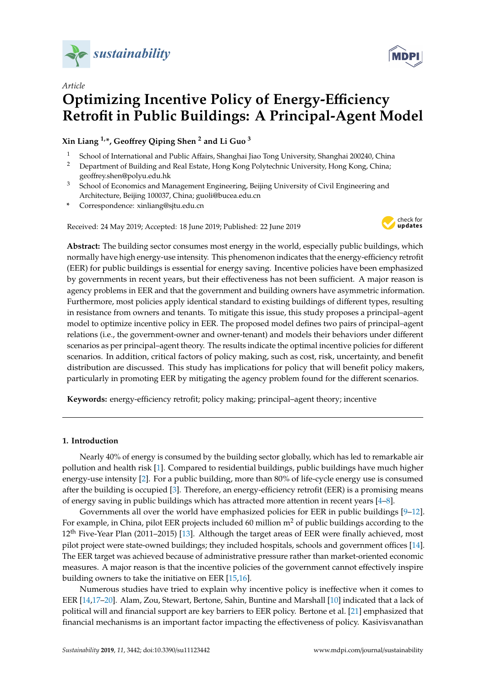

# *Article* **Optimizing Incentive Policy of Energy-E**ffi**ciency Retrofit in Public Buildings: A Principal-Agent Model**

**Xin Liang 1,\*, Geo**ff**rey Qiping Shen <sup>2</sup> and Li Guo <sup>3</sup>**

- <sup>1</sup> School of International and Public Affairs, Shanghai Jiao Tong University, Shanghai 200240, China<br><sup>2</sup> Department of Building and Real Estate Hong Kong Polytechnic University Hong Kong China:
- <sup>2</sup> Department of Building and Real Estate, Hong Kong Polytechnic University, Hong Kong, China; geoffrey.shen@polyu.edu.hk
- <sup>3</sup> School of Economics and Management Engineering, Beijing University of Civil Engineering and Architecture, Beijing 100037, China; guoli@bucea.edu.cn
- **\*** Correspondence: xinliang@sjtu.edu.cn

Received: 24 May 2019; Accepted: 18 June 2019; Published: 22 June 2019



**Abstract:** The building sector consumes most energy in the world, especially public buildings, which normally have high energy-use intensity. This phenomenon indicates that the energy-efficiency retrofit (EER) for public buildings is essential for energy saving. Incentive policies have been emphasized by governments in recent years, but their effectiveness has not been sufficient. A major reason is agency problems in EER and that the government and building owners have asymmetric information. Furthermore, most policies apply identical standard to existing buildings of different types, resulting in resistance from owners and tenants. To mitigate this issue, this study proposes a principal–agent model to optimize incentive policy in EER. The proposed model defines two pairs of principal–agent relations (i.e., the government-owner and owner-tenant) and models their behaviors under different scenarios as per principal–agent theory. The results indicate the optimal incentive policies for different scenarios. In addition, critical factors of policy making, such as cost, risk, uncertainty, and benefit distribution are discussed. This study has implications for policy that will benefit policy makers, particularly in promoting EER by mitigating the agency problem found for the different scenarios.

**Keywords:** energy-efficiency retrofit; policy making; principal–agent theory; incentive

# **1. Introduction**

Nearly 40% of energy is consumed by the building sector globally, which has led to remarkable air pollution and health risk [\[1\]](#page-17-0). Compared to residential buildings, public buildings have much higher energy-use intensity [\[2\]](#page-17-1). For a public building, more than 80% of life-cycle energy use is consumed after the building is occupied [\[3\]](#page-17-2). Therefore, an energy-efficiency retrofit (EER) is a promising means of energy saving in public buildings which has attracted more attention in recent years [\[4](#page-17-3)[–8\]](#page-17-4).

Governments all over the world have emphasized policies for EER in public buildings  $[9-12]$  $[9-12]$ . For example, in China, pilot EER projects included 60 million  $m<sup>2</sup>$  of public buildings according to the 12<sup>th</sup> Five-Year Plan (2011–2015) [\[13\]](#page-17-7). Although the target areas of EER were finally achieved, most pilot project were state-owned buildings; they included hospitals, schools and government offices [\[14\]](#page-17-8). The EER target was achieved because of administrative pressure rather than market-oriented economic measures. A major reason is that the incentive policies of the government cannot effectively inspire building owners to take the initiative on EER [\[15,](#page-17-9)[16\]](#page-17-10).

Numerous studies have tried to explain why incentive policy is ineffective when it comes to EER [\[14,](#page-17-8)[17](#page-17-11)[–20\]](#page-18-0). Alam, Zou, Stewart, Bertone, Sahin, Buntine and Marshall [\[10\]](#page-17-12) indicated that a lack of political will and financial support are key barriers to EER policy. Bertone et al. [\[21\]](#page-18-1) emphasized that financial mechanisms is an important factor impacting the effectiveness of policy. Kasivisvanathan

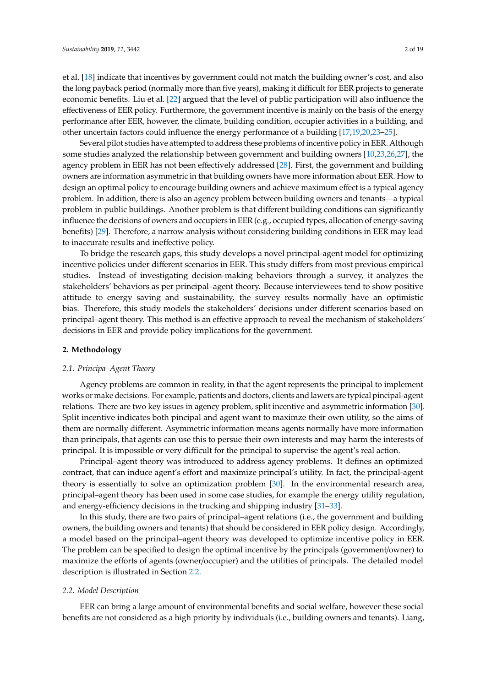et al. [\[18\]](#page-17-13) indicate that incentives by government could not match the building owner's cost, and also the long payback period (normally more than five years), making it difficult for EER projects to generate economic benefits. Liu et al. [\[22\]](#page-18-2) argued that the level of public participation will also influence the effectiveness of EER policy. Furthermore, the government incentive is mainly on the basis of the energy performance after EER, however, the climate, building condition, occupier activities in a building, and other uncertain factors could influence the energy performance of a building [\[17,](#page-17-11)[19,](#page-17-14)[20,](#page-18-0)[23](#page-18-3)[–25\]](#page-18-4).

Several pilot studies have attempted to address these problems of incentive policy in EER. Although some studies analyzed the relationship between government and building owners [\[10](#page-17-12)[,23](#page-18-3)[,26](#page-18-5)[,27\]](#page-18-6), the agency problem in EER has not been effectively addressed [\[28\]](#page-18-7). First, the government and building owners are information asymmetric in that building owners have more information about EER. How to design an optimal policy to encourage building owners and achieve maximum effect is a typical agency problem. In addition, there is also an agency problem between building owners and tenants—a typical problem in public buildings. Another problem is that different building conditions can significantly influence the decisions of owners and occupiers in EER (e.g., occupied types, allocation of energy-saving benefits) [\[29\]](#page-18-8). Therefore, a narrow analysis without considering building conditions in EER may lead to inaccurate results and ineffective policy.

To bridge the research gaps, this study develops a novel principal-agent model for optimizing incentive policies under different scenarios in EER. This study differs from most previous empirical studies. Instead of investigating decision-making behaviors through a survey, it analyzes the stakeholders' behaviors as per principal–agent theory. Because interviewees tend to show positive attitude to energy saving and sustainability, the survey results normally have an optimistic bias. Therefore, this study models the stakeholders' decisions under different scenarios based on principal–agent theory. This method is an effective approach to reveal the mechanism of stakeholders' decisions in EER and provide policy implications for the government.

#### **2. Methodology**

## *2.1. Principa–Agent Theory*

Agency problems are common in reality, in that the agent represents the principal to implement works or make decisions. For example, patients and doctors, clients and lawers are typical pincipal-agent relations. There are two key issues in agency problem, split incentive and asymmetric information [\[30\]](#page-18-9). Split incentive indicates both pincipal and agent want to maximze their own utility, so the aims of them are normally different. Asymmetric information means agents normally have more information than principals, that agents can use this to persue their own interests and may harm the interests of principal. It is impossible or very difficult for the principal to supervise the agent's real action.

Principal–agent theory was introduced to address agency problems. It defines an optimized contract, that can induce agent's effort and maximize principal's utility. In fact, the principal-agent theory is essentially to solve an optimization problem [\[30\]](#page-18-9). In the environmental research area, principal–agent theory has been used in some case studies, for example the energy utility regulation, and energy-efficiency decisions in the trucking and shipping industry [\[31–](#page-18-10)[33\]](#page-18-11).

In this study, there are two pairs of principal–agent relations (i.e., the government and building owners, the building owners and tenants) that should be considered in EER policy design. Accordingly, a model based on the principal–agent theory was developed to optimize incentive policy in EER. The problem can be specified to design the optimal incentive by the principals (government/owner) to maximize the efforts of agents (owner/occupier) and the utilities of principals. The detailed model description is illustrated in Section [2.2.](#page-1-0)

### <span id="page-1-0"></span>*2.2. Model Description*

EER can bring a large amount of environmental benefits and social welfare, however these social benefits are not considered as a high priority by individuals (i.e., building owners and tenants). Liang,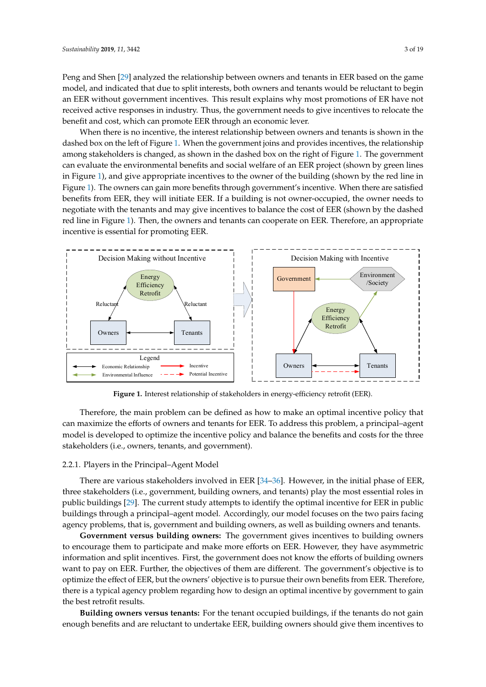Peng and Shen [\[29\]](#page-18-8) analyzed the relationship between owners and tenants in EER based on the game Peng and Shen [29] analyzed the relationship between owners and tenants in EER based on the game model, and indicated that due to split interests, both owners and tenants would be reluctant to begin model, and indicated that due to split interests, both owners and tenants would be reluctant to begin an EER without government incentives. This result explains why most promotions of ER have not an EER without government incentives. This result explains why most promotions of ER have not received active responses in industry. Thus, the government needs to give incentives to relocate the received active responses in industry. Thus, the government needs to give incentives to relocate the benefit and cost, which can promote EER through an economic lever. benefit and cost, which can promote EER through an economic lever.

When there is no incentive, the interest relationship between owners and tenants is shown in the When there is no incentive, the interest relationship between owners and tenants is shown in the dashed box on the left of Figure 1. When the government joins and provides incentives, the relationship dashed box on the left of F[ig](#page-2-0)ure 1. When the government joins and provides incentives, the among stakeholders is changed, as shown in the dashed box on the ri[ght](#page-2-0) of Figure 1. The government can evaluate the environmental benefits and social welfare of an EER project (shown by green lines in Figure 1), and give appropriate incentives to the owner of the building (shown by the red line in Figure 1). The ow[ne](#page-2-0)rs can gain more benefits through government's incentive. When there are satisfied benefits from EER, they will initiate EER. If a building is not owner-occupied, the owner needs to negotiate with the tenants and may give incentives to balance the cost of EER (shown by the dashed red line in Figure [1\)](#page-2-0). Then, the owners and tenants can cooperate on EER. Therefore, an appropriate incentive is essential for promoting EER.

<span id="page-2-0"></span>

**Figure 1.** Interest relationship of stakeholders in energy-efficiency retrofit (EER). **Figure 1.** Interest relationship of stakeholders in energy-efficiency retrofit (EER).

Therefore, the main problem can be defined as how to make an optimal incentive policy that maximize the efforts of owners and tenants for EER. To address this problem, a principal–agent can maximize the efforts of owners and tenants for EER. To address this problem, a principal–agent model is developed to optimize the incentive policy and balance the benefits and costs for the three model is developed to optimize the incentive policy and balance the benefits and costs for the three stakeholders (i.e., owners, tenants, and government). stakeholders (i.e., owners, tenants, and government). Therefore, the main problem can be defined as how to make an optimal incentive policy that

# 2.2.1. Players in the Principal–Agent Model 2.2.1. Players in the Principal–Agent Model

There are various stakeholders involved in EER [34–36]. However, in the initial phase of EER, three stakeholders (i.e., government, building owners, and tenants) play the most essential roles in three stakeholders (i.e., government, building owners, and tenants) play the most essential roles in public buildings [\[29\]](#page-18-8). The current study attempts to identify the optimal incentive for EER in public public buildings  $[29]$ . The current study attempts to identify the optimal incentive for EER in public buildings through a principal–agent model. Accordingly, our model focuses on the two pairs facing buildings through a principal–agent model. Accordingly, our model focuses on the two pairs facing agency problems, that is, government and building owners, as well as building owners and tenants. agency problems, that is, government and building owners, as well as building owners and tenants. There are various stakeholders involved in EER [\[34–](#page-18-12)[36\]](#page-18-13). However, in the initial phase of EER,

**Government versus building owners:** The government gives incentives to building owners to encourage them to participate and make more efforts on EER. However, they have asymmetric information and split incentives. First, the government does not know the efforts of building owners information and split incentives. First, the government does not know the efforts of building owners want to pay on EER. Further, the objectives of them are different. The government's objective is to want to pay on EER. Further, the objectives of them are different. The government's objective is to optimize the effect of EER, but the owners' objective is to pursue their own benefits from EER. Therefore, there is a typical agency problem regarding how to design an optimal incentive by government to gain the best retrofit results.

**Building owners versus tenants:** For the tenant occupied buildings, if the tenants do not gain enough benefits and are reluctant to undertake EER, building owners should give them incentives to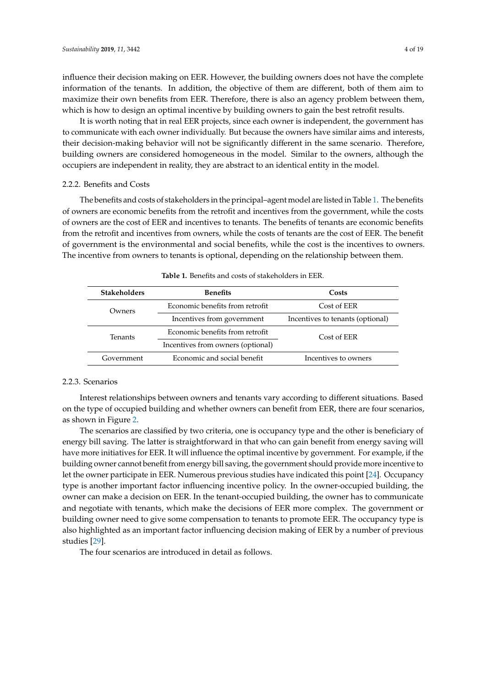influence their decision making on EER. However, the building owners does not have the complete information of the tenants. In addition, the objective of them are different, both of them aim to maximize their own benefits from EER. Therefore, there is also an agency problem between them, which is how to design an optimal incentive by building owners to gain the best retrofit results.

It is worth noting that in real EER projects, since each owner is independent, the government has to communicate with each owner individually. But because the owners have similar aims and interests, their decision-making behavior will not be significantly different in the same scenario. Therefore, building owners are considered homogeneous in the model. Similar to the owners, although the occupiers are independent in reality, they are abstract to an identical entity in the model.

#### 2.2.2. Benefits and Costs

The benefits and costs of stakeholders in the principal–agent model are listed in Table [1.](#page-3-0) The benefits of owners are economic benefits from the retrofit and incentives from the government, while the costs of owners are the cost of EER and incentives to tenants. The benefits of tenants are economic benefits from the retrofit and incentives from owners, while the costs of tenants are the cost of EER. The benefit of government is the environmental and social benefits, while the cost is the incentives to owners. The incentive from owners to tenants is optional, depending on the relationship between them.

<span id="page-3-0"></span>

| <b>Stakeholders</b> | <b>Benefits</b>                   | Costs                            |
|---------------------|-----------------------------------|----------------------------------|
| Owners              | Economic benefits from retrofit   | Cost of EER                      |
|                     | Incentives from government        | Incentives to tenants (optional) |
| <b>Tenants</b>      | Economic benefits from retrofit   | Cost of EER                      |
|                     | Incentives from owners (optional) |                                  |
| Government          | Economic and social benefit       | Incentives to owners             |

| <b>Table 1.</b> Benefits and costs of stakeholders in EER. |
|------------------------------------------------------------|
|------------------------------------------------------------|

#### 2.2.3. Scenarios

Interest relationships between owners and tenants vary according to different situations. Based on the type of occupied building and whether owners can benefit from EER, there are four scenarios, as shown in Figure [2.](#page-4-0)

The scenarios are classified by two criteria, one is occupancy type and the other is beneficiary of energy bill saving. The latter is straightforward in that who can gain benefit from energy saving will have more initiatives for EER. It will influence the optimal incentive by government. For example, if the building owner cannot benefit from energy bill saving, the government should provide more incentive to let the owner participate in EER. Numerous previous studies have indicated this point [\[24\]](#page-18-14). Occupancy type is another important factor influencing incentive policy. In the owner-occupied building, the owner can make a decision on EER. In the tenant-occupied building, the owner has to communicate and negotiate with tenants, which make the decisions of EER more complex. The government or building owner need to give some compensation to tenants to promote EER. The occupancy type is also highlighted as an important factor influencing decision making of EER by a number of previous studies [\[29\]](#page-18-8).

The four scenarios are introduced in detail as follows.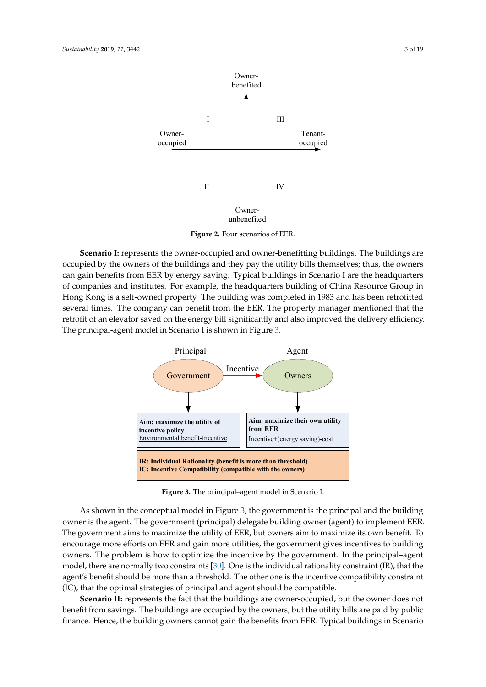<span id="page-4-0"></span>

**Figure 2.** Four scenarios of EER. **Figure 2.** Four scenarios of EER. **Figure 2.** Four scenarios of EER.

occupied by the owners of the buildings and they pay the utility bills themselves; thus, the owners called by the owners of the bandings and they pay the diffity bins dienserves, thus, the owners<br>can gain benefits from EER by energy saving. Typical buildings in Scenario I are the headquarters of companies and institutes. For example, the headquarters building of China Resource Group in companies and institutes. For example, the headquarters building of China Resource Group in Hong Hong Kong is a self-owned property. The building was completed in 1983 and has been retrofitted several times. The company can benefit from the EER. The property manager mentioned that the retrofit of an elevator saved on the energy bill significantly and also improved the delivery efficiency. and the energy bill significant on the energy bill significantly and also improved the delivery efficiency. principal-agent model in Scenario I is shown in Figure 3. The principal-agent model in Scenario I is shown in Figure [3.](#page-4-1) principal-agent model in Scenario I is shown in Figure 3. **Scenario I:** represents the owner-occupied and owner-benefitting buildings. The buildings are can gain benefits from EER by energy saving. Typical buildings in Scenario I are the headquarters of exercise or an elevator saved on the energy bill significantly and also improved the delivery efficiency.

<span id="page-4-1"></span>

**Figure 3. Figure 3. Figure 1. The principal-agent model in Scenario I. Principal-Figure 3.** The principal–agent model in Scenario I. **Figure 3.** The principal–agent model in Scenario I.

owner is the agent. The government (principal) delegate building owner (agent) to implement EER. The government aims to maximize the utility of EER, but owners aim to maximize its own benefit. To encourage more efforts on EER and gain more utilities, the government gives incentives to building owners. The problem is how to optimize the incentive by the government. In the principal-agent model, there are normally two cons[trai](#page-18-9)nts [30]. One is the individual rationality constraint (IR), that the agent's bonefit should be more than a threshold. The other one is the incentive compatibility constraint agent's benefit should be more than a threshold. The other one is the incentive compatibility constraint (IC), that the optimal strategies of principal and agent should be compatible. As shown in the conceptual model in Figure [3,](#page-4-1) the government is the principal and the building

Scenario II: represents the fact that the buildings are owner-occupied, but the owner does not benefit from savings. The buildings are occupied by the owners, but the utility bills are paid by public finance. Hence, the building owners cannot gain the benefits from EER. Typical buildings in Scenario  $\mathcal{L}$  final building over  $\mathcal{L}$  the building in  $\mathcal{L}$  $\frac{1}{2}$  finance building over  $\frac{1}{2}$  building in Sec.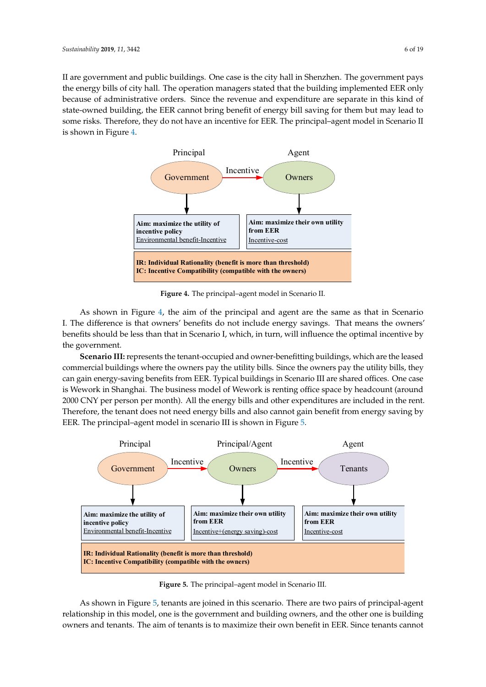II are government and public buildings. One case is the city hall in Shenzhen. The government pays the energy bills of city hall. The operation managers stated that the building implemented EER only because of administrative orders. Since the revenue and expenditure are separate in this kind of state-owned building, the EER cannot bring benefit of energy bill saving for them but may lead to some risks. Therefore, they do not have an incentive for EER. The principal–agent model in Scenario II is shown in Figure [4.](#page-5-0) shown in Figure 4. shown in Figure 4.

<span id="page-5-0"></span>

**Figure 4.** The principal–agent model in Scenario II. **Figure 4.** The principal–agent model in Scenario II. **Figure 4.** The principal–agent model in Scenario II.

I. The difference is that owners' benefits do not include energy savings. That means the owners'  $\frac{d}{dt}$  benefits should be less than that in Scenario I, which in turn will influence the optimal incentive by  $\mathbf{f}_1$  that is supposed in Scenario I, which, in the optimal incentive by the optimal incentive by the optimal incentive by the optimal incentive by the optimal incentive by the optimal incentive by the optimal incenti As shown in Figure [4,](#page-5-0) the aim of the principal and agent are the same as that in Scenario If the americal is that owners' benefits do not include energy savings. That means the owners'<br>benefits should be less than that in Scenario I, which, in turn, will influence the optimal incentive by the government. should be less than that in Scenario I, which, in turn, will influence the optimal incentive by

**Scenario III:** represents the tenant-occupied and owner-benefitting buildings, which are the leased commercial buildings where the owners pay the utility bills. Since the owners pay the utility bills, they can gain energy-saving benefits from EER. Typical buildings in Scenario III are shared offices. One case is Wework in Shanghai. The business model of Wework is renting office space by headcount (around 2000 CNY per person per month). All the energy bills and other expenditures are included in the rent. Therefore, the tenant does not need energy bills and also cannot gain benefit from energy saving by EER. The principal-agent model in scenario III is shown in Figure [5.](#page-5-1)  $\frac{1}{2}$  is shown in scenario in scenario in  $\frac{1}{2}$  is shown in Figure 5. from energy saving by EER. The principal–agent model in scenario III is shown in Figure 5.

<span id="page-5-1"></span>

**Figure 5.** The principal–agent model in Scenario III. **Figure 5.** The principal–agent model in Scenario III. **Figure 5.** The principal–agent model in Scenario III.

relationship in this model, one is the government and building owners, and the other one is building owners and tenants. The aim of tenants is to maximize their own benefit in EER. Since tenants cannot As shown in Figure [5,](#page-5-1) tenants are joined in this scenario. There are two pairs of principal-agent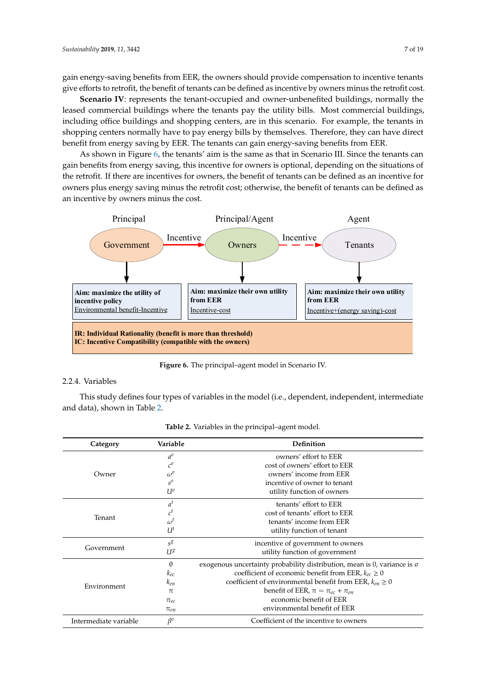gain energy-saving benefits from EER, the owners should provide compensation to incentive tenants give efforts to retrofit, the benefit of tenants can be defined as incentive by owners minus the retrofit cost.

**Scenario IV**: represents the tenant-occupied and owner-unbenefited buildings, normally the leased commercial buildings where the tenants pay the utility bills. Most commercial buildings, including office buildings and shopping centers, are in this scenario. For example, the tenants in shopping centers normally have to pay energy bills by themselves. Therefore, they can have direct benefit from energy saving by EER. The tenants can gain energy-saving benefits from EER.

As shown in Figure [6,](#page-6-0) the tenants' aim is the same as that in Scenario III. Since the tenants can gain benefits from energy saving, this incentive for owners is optional, depending on the situations of the retrofit. If there are incentives for owners, the benefit of tenants can be defined as an incentive for owners plus energy saving minus the retrofit cost; otherwise, the benefit of tenants can be defined as an incentive by owners minus the cost.

<span id="page-6-0"></span>

**Figure 6.** The principal–agent model in Scenario IV. **Figure 6.** The principal–agent model in Scenario IV.

# 2.2.4. Variables

This study defines four types of variables in the model (i.e., dependent, independent, intermediate and data), shown in Table [2.](#page-7-0)

| Variable<br>Category  |                    | <b>Definition</b>                                                                  |  |
|-----------------------|--------------------|------------------------------------------------------------------------------------|--|
|                       | $a^{\rho}$         | owners' effort to EER                                                              |  |
|                       | $c^{\text{o}}$     | cost of owners' effort to EER                                                      |  |
| Owner                 | $\omega^{\rm o}$   | owners' income from EER                                                            |  |
|                       | $s^{\rho}$         | incentive of owner to tenant                                                       |  |
|                       | $U^o$              | utility function of owners                                                         |  |
|                       | $a^t$              | tenants' effort to EER                                                             |  |
| Tenant                | $\boldsymbol{c}^t$ | cost of tenants' effort to EER                                                     |  |
|                       | $\omega^t$         | tenants' income from EER                                                           |  |
|                       | $U^t$              | utility function of tenant                                                         |  |
|                       | $s^g$              | incentive of government to owners                                                  |  |
| Government            | U <sup>8</sup>     | utility function of government                                                     |  |
|                       | $\theta$           | exogenous uncertainty probability distribution, mean is $0$ , variance is $\sigma$ |  |
|                       | $k_{ec}$           | coefficient of economic benefit from EER, $k_{ec} \ge 0$                           |  |
| Environment           | $k_{en}$           | coefficient of environmental benefit from EER, $k_{en} \ge 0$                      |  |
|                       | $\pi$              | benefit of EER, $\pi = \pi_{ec} + \pi_{en}$                                        |  |
|                       | $\pi_{ec}$         | economic benefit of EER                                                            |  |
|                       | $\pi_{en}$         | environmental benefit of EER                                                       |  |
| Intermediate variable | $\beta^o$          | Coefficient of the incentive to owners                                             |  |

Table 2. Variables in the principal–agent model.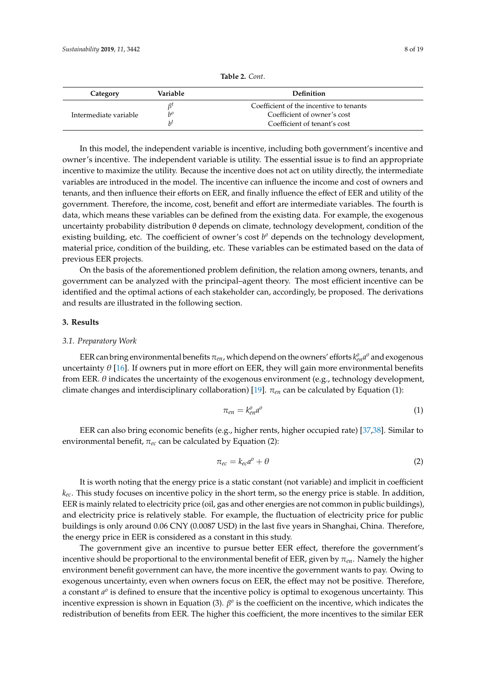<span id="page-7-0"></span>

| Category              | Variable        | Definition                                                                                             |
|-----------------------|-----------------|--------------------------------------------------------------------------------------------------------|
| Intermediate variable | $h^{\rho}$<br>h | Coefficient of the incentive to tenants<br>Coefficient of owner's cost<br>Coefficient of tenant's cost |

**Table 2.** *Cont*.

In this model, the independent variable is incentive, including both government's incentive and owner's incentive. The independent variable is utility. The essential issue is to find an appropriate incentive to maximize the utility. Because the incentive does not act on utility directly, the intermediate variables are introduced in the model. The incentive can influence the income and cost of owners and tenants, and then influence their efforts on EER, and finally influence the effect of EER and utility of the government. Therefore, the income, cost, benefit and effort are intermediate variables. The fourth is data, which means these variables can be defined from the existing data. For example, the exogenous uncertainty probability distribution θ depends on climate, technology development, condition of the existing building, etc. The coefficient of owner's cost  $b^o$  depends on the technology development, material price, condition of the building, etc. These variables can be estimated based on the data of previous EER projects.

On the basis of the aforementioned problem definition, the relation among owners, tenants, and government can be analyzed with the principal–agent theory. The most efficient incentive can be identified and the optimal actions of each stakeholder can, accordingly, be proposed. The derivations and results are illustrated in the following section.

#### **3. Results**

#### *3.1. Preparatory Work*

EER can bring environmental benefits  $\pi_{en}$ , which depend on the owners' efforts  $k_{en}^o a^o$  and exogenous uncertainty  $\theta$  [\[16\]](#page-17-10). If owners put in more effort on EER, they will gain more environmental benefits from EER.  $\theta$  indicates the uncertainty of the exogenous environment (e.g., technology development, climate changes and interdisciplinary collaboration) [\[19\]](#page-17-14). π*en* can be calculated by Equation (1):

$$
\pi_{en} = k_{en}^o a^o \tag{1}
$$

EER can also bring economic benefits (e.g., higher rents, higher occupied rate) [\[37](#page-18-15)[,38\]](#page-18-16). Similar to environmental benefit, π*ec* can be calculated by Equation (2):

$$
\pi_{ec} = k_{ec} a^o + \theta \tag{2}
$$

It is worth noting that the energy price is a static constant (not variable) and implicit in coefficient *kec*. This study focuses on incentive policy in the short term, so the energy price is stable. In addition, EER is mainly related to electricity price (oil, gas and other energies are not common in public buildings), and electricity price is relatively stable. For example, the fluctuation of electricity price for public buildings is only around 0.06 CNY (0.0087 USD) in the last five years in Shanghai, China. Therefore, the energy price in EER is considered as a constant in this study.

The government give an incentive to pursue better EER effect, therefore the government's incentive should be proportional to the environmental benefit of EER, given by  $\pi_{en}$ . Namely the higher environment benefit government can have, the more incentive the government wants to pay. Owing to exogenous uncertainty, even when owners focus on EER, the effect may not be positive. Therefore, a constant  $a^{\circ}$  is defined to ensure that the incentive policy is optimal to exogenous uncertainty. This incentive expression is shown in Equation (3).  $\beta^o$  is the coefficient on the incentive, which indicates the redistribution of benefits from EER. The higher this coefficient, the more incentives to the similar EER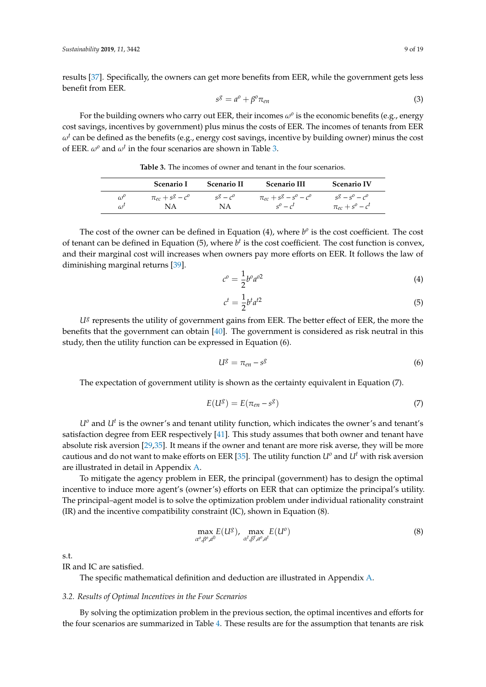results [\[37\]](#page-18-15). Specifically, the owners can get more benefits from EER, while the government gets less benefit from EER.

$$
s^g = a^o + \beta^o \pi_{en} \tag{3}
$$

For the building owners who carry out EER, their incomes  $\omega^{\mathfrak{o}}$  is the economic benefits (e.g., energy cost savings, incentives by government) plus minus the costs of EER. The incomes of tenants from EER  $\omega^t$  can be defined as the benefits (e.g., energy cost savings, incentive by building owner) minus the cost of EER.  $\omega^o$  and  $\omega^t$  in the four scenarios are shown in Table [3.](#page-8-0)

<span id="page-8-0"></span>

|                  | <b>Scenario I</b>      | <b>Scenario II</b> | <b>Scenario III</b>          | <b>Scenario IV</b>             |
|------------------|------------------------|--------------------|------------------------------|--------------------------------|
| $\omega^{\circ}$ | $\pi_{ec} + s^g - c^o$ | $s^g - c^o$        | $\pi_{ec} + s^g - s^o - c^o$ | $s^g - s^{\circ} - c^{\circ}$  |
| $\omega^t$       | NΑ                     | NA                 | $s^0 - c^t$                  | $\pi_{ec} + s^{\circ} - c^{t}$ |

**Table 3.** The incomes of owner and tenant in the four scenarios.

The cost of the owner can be defined in Equation  $(4)$ , where  $b^{\circ}$  is the cost coefficient. The cost of tenant can be defined in Equation (5), where *b t* is the cost coefficient. The cost function is convex, and their marginal cost will increases when owners pay more efforts on EER. It follows the law of diminishing marginal returns [\[39\]](#page-18-17).

$$
c^o = \frac{1}{2}b^o a^{o2} \tag{4}
$$

$$
c^t = \frac{1}{2}b^t a^{t2} \tag{5}
$$

U<sup>g</sup> represents the utility of government gains from EER. The better effect of EER, the more the benefits that the government can obtain [\[40\]](#page-18-18). The government is considered as risk neutral in this study, then the utility function can be expressed in Equation (6).

$$
U^g = \pi_{en} - s^g \tag{6}
$$

The expectation of government utility is shown as the certainty equivalent in Equation (7).

$$
E(U^g) = E(\pi_{en} - s^g) \tag{7}
$$

 $U^o$  and  $U^t$  is the owner's and tenant utility function, which indicates the owner's and tenant's satisfaction degree from EER respectively [\[41\]](#page-18-19). This study assumes that both owner and tenant have absolute risk aversion [\[29,](#page-18-8)[35\]](#page-18-20). It means if the owner and tenant are more risk averse, they will be more cautious and do not want to make efforts on EER [\[35\]](#page-18-20). The utility function  $U^o$  and  $U^t$  with risk aversion are illustrated in detail in Appendix [A.](#page-12-0)

To mitigate the agency problem in EER, the principal (government) has to design the optimal incentive to induce more agent's (owner's) efforts on EER that can optimize the principal's utility. The principal–agent model is to solve the optimization problem under individual rationality constraint (IR) and the incentive compatibility constraint (IC), shown in Equation (8).

$$
\max_{\alpha^o, \beta^o, a^0} E(U^g), \max_{\alpha^t, \beta^t, a^o, a^t} E(U^o)
$$
\n(8)

s.t.

IR and IC are satisfied.

The specific mathematical definition and deduction are illustrated in Appendix [A.](#page-12-0)

#### *3.2. Results of Optimal Incentives in the Four Scenarios*

By solving the optimization problem in the previous section, the optimal incentives and efforts for the four scenarios are summarized in Table [4.](#page-9-0) These results are for the assumption that tenants are risk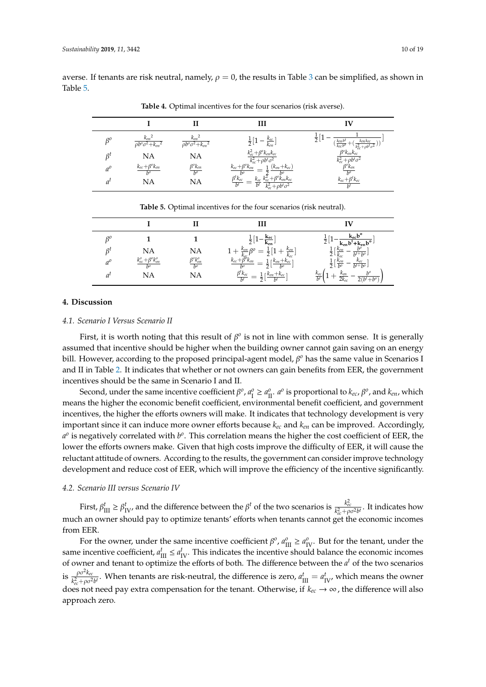<span id="page-9-0"></span>averse. If tenants are risk neutral, namely,  $\rho = 0$ , the results in Table [3](#page-8-0) can be simplified, as shown in Table [5.](#page-9-1)

|             |                                                 |                                                 | ш                                                                                                                                               | ĪV                                                                                                                            |
|-------------|-------------------------------------------------|-------------------------------------------------|-------------------------------------------------------------------------------------------------------------------------------------------------|-------------------------------------------------------------------------------------------------------------------------------|
| $\beta^o$   | $\frac{k_{en}^2}{\rho b^o \sigma^2 + k_{en}^2}$ | $\frac{k_{en}^2}{\rho b^o \sigma^2 + k_{en}^2}$ | $\frac{1}{2}[1 - \frac{k_{ec}}{k_{en}}]$                                                                                                        | $\frac{1}{2}$<br>$(\frac{k_{en}b^t}{k_{ec}b^0})$<br>$(\frac{\overline{k_{en}}\overline{k_{ec}}}{k_{ec}^2+\rho b^t\sigma^2}))$ |
| Ŗt          | <b>NA</b>                                       | <b>NA</b>                                       | $\frac{k_{ec}^2+\beta^o k_{en}k_{ec}}{k_{ec}^2+\rho b^t\sigma^2}$                                                                               | $\beta^{o}k_{en}k_{ec}$                                                                                                       |
| $a^{\rho}$  | $\frac{k_{ec}+\beta^o k_{en}}{b^o}$             | $\frac{\beta^o k_{en}}{b^o}$                    | $\frac{1}{1}$ $(k_{en}+k_{ec})$<br>$k_{ec}+\beta^o k_{en}$                                                                                      | $\frac{k_{ec}^2 + \rho b^t \sigma^2}{\beta^o k_{en}}$<br>$\frac{k_{ec} + \beta^t k_{ec}}{k_{ec}}$                             |
| $a^{\iota}$ | <b>NA</b>                                       | <b>NA</b>                                       | $\overline{\frac{\beta^t k_{ec}^b}{b^t}} = \frac{\overline{z}}{k_{ec}^c} \frac{k_{ec}^b + \beta^o k_{en} k_{ec}}{k_{ec}^2 + \rho b^t \sigma^2}$ |                                                                                                                               |

**Table 4.** Optimal incentives for the four scenarios (risk averse).

<span id="page-9-1"></span>

|    |                                                |                                | ш                                                                                                                                                                                     | īV                                                                                                                                                                                                                                                                                                                                                 |
|----|------------------------------------------------|--------------------------------|---------------------------------------------------------------------------------------------------------------------------------------------------------------------------------------|----------------------------------------------------------------------------------------------------------------------------------------------------------------------------------------------------------------------------------------------------------------------------------------------------------------------------------------------------|
| ρC |                                                |                                | $\frac{1}{2}[1-\frac{k_{ec}}{k_{en}}]$                                                                                                                                                | $\begin{array}{c}\frac{1}{2}\left[1-\frac{\mathbf{k_{ec}}\mathbf{b}^{\mathbf{o}}}{\mathbf{k_{en}}\mathbf{b}^{\mathbf{t}}+\mathbf{k_{en}}\mathbf{b}^{\mathbf{o}}}\right]\\ \frac{1}{2}\left[\frac{k_{en}}{k_{cc}}-\frac{b^{\mathbf{o}}}{b^{t+b}}\right]\\ \frac{1}{2}\left[\frac{k_{en}}{b^{\mathbf{o}}} -\frac{k_{cc}}{b^{t+b}}\right]\end{array}$ |
| Ŗt | <b>NA</b>                                      | NA                             |                                                                                                                                                                                       |                                                                                                                                                                                                                                                                                                                                                    |
|    | $\frac{k_{ec}^{o}+\beta^{o}k_{en}^{o}}{b^{o}}$ | $\frac{\beta^o k_{en}^o}{b^o}$ | $1 + \frac{k_{en}}{k_{cc}}\beta^0 = \frac{1}{2}\left[1 + \frac{k_{en}}{k_{cc}}\right]$<br>$\frac{k_{ec} + \beta^0 k_{en}}{b^0} = \frac{1}{2}\left[\frac{k_{en} + k_{ec}}{b^0}\right]$ |                                                                                                                                                                                                                                                                                                                                                    |
|    | NA                                             | NA                             | $\frac{\beta^t k_{ec}}{h^t} = \frac{1}{2} \left[ \frac{k_{en} + k_{ec}}{h^t} \right]$                                                                                                 | $rac{k_{ec}}{b^t}\Big(1 +$<br>$+$ $\frac{k_{en}}{2k_{ec}}$ –<br>$\frac{b^o}{2(b^t+b^o)}$                                                                                                                                                                                                                                                           |

**Table 5.** Optimal incentives for the four scenarios (risk neutral).

## **4. Discussion**

## *4.1. Scenario I Versus Scenario II*

First, it is worth noting that this result of  $\beta^0$  is not in line with common sense. It is generally assumed that incentive should be higher when the building owner cannot gain saving on an energy bill. However, according to the proposed principal-agent model, β<sup>o</sup> has the same value in Scenarios I and II in Table [2.](#page-7-0) It indicates that whether or not owners can gain benefits from EER, the government incentives should be the same in Scenario I and II.

Second, under the same incentive coefficient  $\beta^o$ ,  $a_1^o \ge a_{II}^o$ .  $a^o$  is proportional to  $k_{ec}$ ,  $\beta^o$ , and  $k_{en}$ , which means the higher the economic benefit coefficient, environmental benefit coefficient, and government incentives, the higher the efforts owners will make. It indicates that technology development is very important since it can induce more owner efforts because *kec* and *ken* can be improved. Accordingly,  $a^o$  is negatively correlated with  $b^o$ . This correlation means the higher the cost coefficient of EER, the lower the efforts owners make. Given that high costs improve the difficulty of EER, it will cause the reluctant attitude of owners. According to the results, the government can consider improve technology development and reduce cost of EER, which will improve the efficiency of the incentive significantly.

## *4.2. Scenario III versus Scenario IV*

First,  $\beta_{\text{III}}^t \geq \beta_{\text{IV}}^t$  and the difference between the  $\beta^t$  of the two scenarios is  $\frac{k_{ec}^2}{k_{ec}^2 + \rho \sigma^2 b^t}$ . It indicates how much an owner should pay to optimize tenants' efforts when tenants cannot get the economic incomes from EER.

For the owner, under the same incentive coefficient  $\beta^o$ ,  $a_{\text{III}}^o \ge a_{\text{IV}}^o$ . But for the tenant, under the same incentive coefficient,  $a_{\text{III}}^t \le a_{\text{IV}}^t$ . This indicates the incentive should balance the economic incomes of owner and tenant to optimize the efforts of both. The difference between the *a <sup>t</sup>* of the two scenarios is  $\frac{\rho \sigma^2 k_{ec}}{k^2 + \sigma^2}$  $\frac{\rho \sigma \kappa_{ec}}{k_{ec}^2 + \rho \sigma^2 b^t}$ . When tenants are risk-neutral, the difference is zero,  $a_{III}^t = a_{IV}^t$ , which means the owner does not need pay extra compensation for the tenant. Otherwise, if  $k_{ec} \to \infty$ , the difference will also approach zero.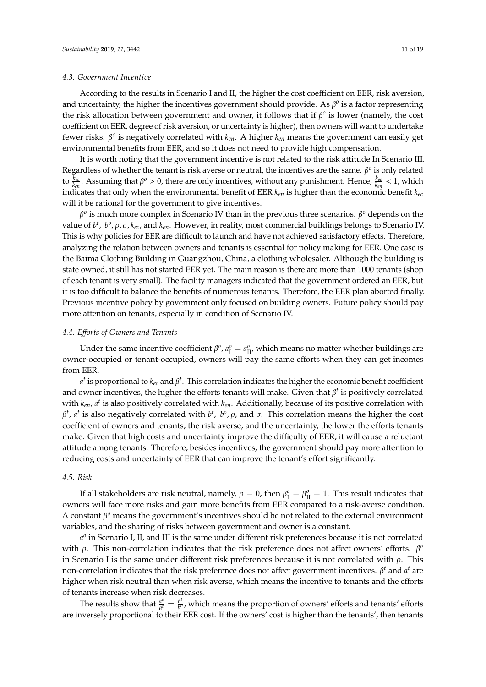According to the results in Scenario I and II, the higher the cost coefficient on EER, risk aversion, and uncertainty, the higher the incentives government should provide. As  $\beta^o$  is a factor representing the risk allocation between government and owner, it follows that if  $\beta^o$  is lower (namely, the cost coefficient on EER, degree of risk aversion, or uncertainty is higher), then owners will want to undertake fewer risks.  $β<sup>o</sup>$  is negatively correlated with  $k<sub>en</sub>$ . A higher  $k<sub>en</sub>$  means the government can easily get environmental benefits from EER, and so it does not need to provide high compensation.

It is worth noting that the government incentive is not related to the risk attitude In Scenario III. Regardless of whether the tenant is risk averse or neutral, the incentives are the same.  $\beta^o$  is only related to  $\frac{k_{ec}}{k_{en}}$ . Assuming that  $\beta^o > 0$ , there are only incentives, without any punishment. Hence,  $\frac{k_{ec}}{k_{en}} < 1$ , which indicates that only when the environmental benefit of EER *ken* is higher than the economic benefit *kec* will it be rational for the government to give incentives.

 $β<sup>o</sup>$  is much more complex in Scenario IV than in the previous three scenarios.  $β<sup>o</sup>$  depends on the value of *b t* , *b o* , ρ, σ, *kec*, and *ken*. However, in reality, most commercial buildings belongs to Scenario IV. This is why policies for EER are difficult to launch and have not achieved satisfactory effects. Therefore, analyzing the relation between owners and tenants is essential for policy making for EER. One case is the Baima Clothing Building in Guangzhou, China, a clothing wholesaler. Although the building is state owned, it still has not started EER yet. The main reason is there are more than 1000 tenants (shop of each tenant is very small). The facility managers indicated that the government ordered an EER, but it is too difficult to balance the benefits of numerous tenants. Therefore, the EER plan aborted finally. Previous incentive policy by government only focused on building owners. Future policy should pay more attention on tenants, especially in condition of Scenario IV.

#### *4.4. E*ff*orts of Owners and Tenants*

Under the same incentive coefficient  $\beta^o$ ,  $a_{\rm I}^o = a_{\rm II}^o$ , which means no matter whether buildings are owner-occupied or tenant-occupied, owners will pay the same efforts when they can get incomes from EER.

 $a^t$  is proportional to  $k_{ec}$  and  $\beta^t$  . This correlation indicates the higher the economic benefit coefficient and owner incentives, the higher the efforts tenants will make. Given that  $\beta^t$  is positively correlated with *ken*, *a t* is also positively correlated with *ken*. Additionally, because of its positive correlation with  $β<sup>t</sup>$ , *a*<sup>t</sup> is also negatively correlated with  $b<sup>t</sup>$ ,  $b<sup>o</sup>$ ,  $ρ$ , and  $σ$ . This correlation means the higher the cost coefficient of owners and tenants, the risk averse, and the uncertainty, the lower the efforts tenants make. Given that high costs and uncertainty improve the difficulty of EER, it will cause a reluctant attitude among tenants. Therefore, besides incentives, the government should pay more attention to reducing costs and uncertainty of EER that can improve the tenant's effort significantly.

## *4.5. Risk*

If all stakeholders are risk neutral, namely,  $\rho = 0$ , then  $\beta_{\rm I}^o = \beta_{\rm II}^o = 1$ . This result indicates that owners will face more risks and gain more benefits from EER compared to a risk-averse condition. A constant β<sup>o</sup> means the government's incentives should be not related to the external environment variables, and the sharing of risks between government and owner is a constant.

*a o* in Scenario I, II, and III is the same under different risk preferences because it is not correlated with  $\rho$ . This non-correlation indicates that the risk preference does not affect owners' efforts.  $\beta^{\alpha}$ in Scenario I is the same under different risk preferences because it is not correlated with  $\rho$ . This non-correlation indicates that the risk preference does not affect government incentives. β *<sup>t</sup>* and *a <sup>t</sup>* are higher when risk neutral than when risk averse, which means the incentive to tenants and the efforts of tenants increase when risk decreases.

The results show that  $\frac{d^{\circ}}{dt}$  $\frac{a^o}{a^t} = \frac{b^t}{b^c}$  $\frac{b^2}{b^o}$ , which means the proportion of owners' efforts and tenants' efforts are inversely proportional to their EER cost. If the owners' cost is higher than the tenants', then tenants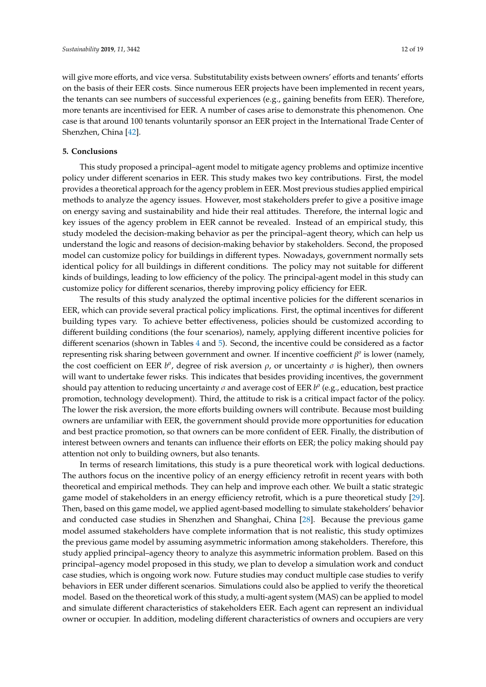will give more efforts, and vice versa. Substitutability exists between owners' efforts and tenants' efforts on the basis of their EER costs. Since numerous EER projects have been implemented in recent years, the tenants can see numbers of successful experiences (e.g., gaining benefits from EER). Therefore, more tenants are incentivised for EER. A number of cases arise to demonstrate this phenomenon. One case is that around 100 tenants voluntarily sponsor an EER project in the International Trade Center of Shenzhen, China [\[42\]](#page-18-21).

## **5. Conclusions**

This study proposed a principal–agent model to mitigate agency problems and optimize incentive policy under different scenarios in EER. This study makes two key contributions. First, the model provides a theoretical approach for the agency problem in EER. Most previous studies applied empirical methods to analyze the agency issues. However, most stakeholders prefer to give a positive image on energy saving and sustainability and hide their real attitudes. Therefore, the internal logic and key issues of the agency problem in EER cannot be revealed. Instead of an empirical study, this study modeled the decision-making behavior as per the principal–agent theory, which can help us understand the logic and reasons of decision-making behavior by stakeholders. Second, the proposed model can customize policy for buildings in different types. Nowadays, government normally sets identical policy for all buildings in different conditions. The policy may not suitable for different kinds of buildings, leading to low efficiency of the policy. The principal-agent model in this study can customize policy for different scenarios, thereby improving policy efficiency for EER.

The results of this study analyzed the optimal incentive policies for the different scenarios in EER, which can provide several practical policy implications. First, the optimal incentives for different building types vary. To achieve better effectiveness, policies should be customized according to different building conditions (the four scenarios), namely, applying different incentive policies for different scenarios (shown in Tables [4](#page-9-0) and [5\)](#page-9-1). Second, the incentive could be considered as a factor representing risk sharing between government and owner. If incentive coefficient  $β<sup>o</sup>$  is lower (namely, the cost coefficient on EER  $b^o$ , degree of risk aversion  $\rho$ , or uncertainty  $\sigma$  is higher), then owners will want to undertake fewer risks. This indicates that besides providing incentives, the government should pay attention to reducing uncertainty  $\sigma$  and average cost of EER  $b^o$  (e.g., education, best practice promotion, technology development). Third, the attitude to risk is a critical impact factor of the policy. The lower the risk aversion, the more efforts building owners will contribute. Because most building owners are unfamiliar with EER, the government should provide more opportunities for education and best practice promotion, so that owners can be more confident of EER. Finally, the distribution of interest between owners and tenants can influence their efforts on EER; the policy making should pay attention not only to building owners, but also tenants.

In terms of research limitations, this study is a pure theoretical work with logical deductions. The authors focus on the incentive policy of an energy efficiency retrofit in recent years with both theoretical and empirical methods. They can help and improve each other. We built a static strategic game model of stakeholders in an energy efficiency retrofit, which is a pure theoretical study [\[29\]](#page-18-8). Then, based on this game model, we applied agent-based modelling to simulate stakeholders' behavior and conducted case studies in Shenzhen and Shanghai, China [\[28\]](#page-18-7). Because the previous game model assumed stakeholders have complete information that is not realistic, this study optimizes the previous game model by assuming asymmetric information among stakeholders. Therefore, this study applied principal–agency theory to analyze this asymmetric information problem. Based on this principal–agency model proposed in this study, we plan to develop a simulation work and conduct case studies, which is ongoing work now. Future studies may conduct multiple case studies to verify behaviors in EER under different scenarios. Simulations could also be applied to verify the theoretical model. Based on the theoretical work of this study, a multi-agent system (MAS) can be applied to model and simulate different characteristics of stakeholders EER. Each agent can represent an individual owner or occupier. In addition, modeling different characteristics of owners and occupiers are very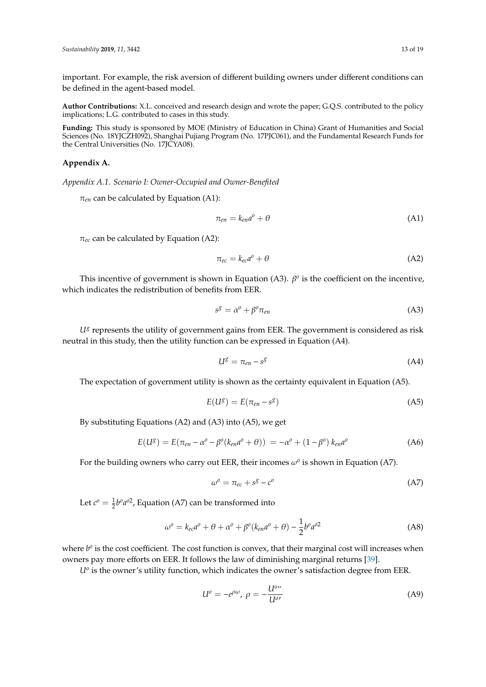important. For example, the risk aversion of different building owners under different conditions can be defined in the agent-based model.

**Author Contributions:** X.L. conceived and research design and wrote the paper; G.Q.S. contributed to the policy implications; L.G. contributed to cases in this study.

**Funding:** This study is sponsored by MOE (Ministry of Education in China) Grant of Humanities and Social Sciences (No. 18YJCZH092), Shanghai Pujiang Program (No. 17PJC061), and the Fundamental Research Funds for the Central Universities (No. 17JCYA08).

## <span id="page-12-0"></span>**Appendix A.**

*Appendix A.1. Scenario I: Owner-Occupied and Owner-Benefited*

 $\pi_{en}$  can be calculated by Equation (A1):

$$
\pi_{en} = k_{en}a^o + \theta \tag{A1}
$$

 $\pi_{ec}$  can be calculated by Equation (A2):

$$
\pi_{ec} = k_{ec} a^o + \theta \tag{A2}
$$

This incentive of government is shown in Equation (A3).  $\beta^o$  is the coefficient on the incentive, which indicates the redistribution of benefits from EER.

$$
s^g = \alpha^o + \beta^o \pi_{en} \tag{A3}
$$

*U<sup>g</sup>* represents the utility of government gains from EER. The government is considered as risk neutral in this study, then the utility function can be expressed in Equation (A4).

$$
U^g = \pi_{en} - s^g \tag{A4}
$$

The expectation of government utility is shown as the certainty equivalent in Equation (A5).

$$
E(U^g) = E(\pi_{en} - s^g) \tag{A5}
$$

By substituting Equations (A2) and (A3) into (A5), we get

$$
E(U^g) = E(\pi_{en} - \alpha^o - \beta^o(k_{en}a^o + \theta)) = -\alpha^o + (1 - \beta^o) k_{en}a^o
$$
 (A6)

For the building owners who carry out EER, their incomes  $\omega^o$  is shown in Equation (A7).

$$
\omega^o = \pi_{ec} + s^g - c^o \tag{A7}
$$

Let  $c^{\circ} = \frac{1}{2}b^{\circ}a^{\circ 2}$ , Equation (A7) can be transformed into

$$
\omega^o = k_{ec}a^o + \theta + \alpha^o + \beta^o(k_{en}a^o + \theta) - \frac{1}{2}b^o a^{o2}
$$
 (A8)

where  $b^o$  is the cost coefficient. The cost function is convex, that their marginal cost will increases when owners pay more efforts on EER. It follows the law of diminishing marginal returns [\[39\]](#page-18-17).

*Uo* is the owner's utility function, which indicates the owner's satisfaction degree from EER.

$$
U^o = -e^{\rho \omega}, \ \rho = -\frac{U^{o}}{U^{o'}}
$$
 (A9)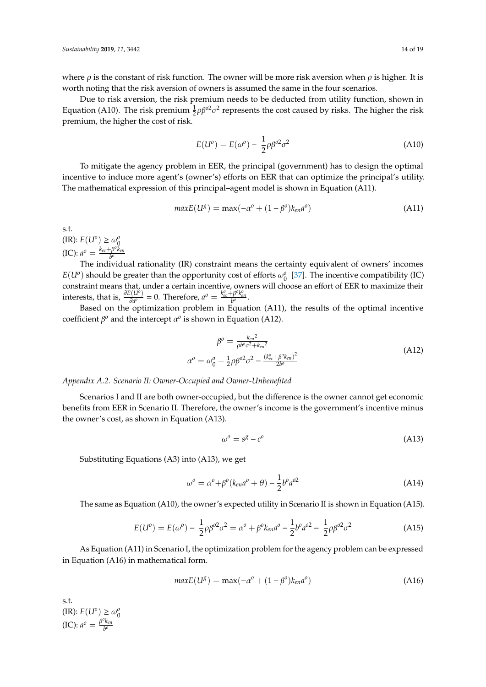where  $\rho$  is the constant of risk function. The owner will be more risk aversion when  $\rho$  is higher. It is worth noting that the risk aversion of owners is assumed the same in the four scenarios.

Due to risk aversion, the risk premium needs to be deducted from utility function, shown in Equation (A10). The risk premium  $\frac{1}{2}\rho\beta^{02}\sigma^2$  represents the cost caused by risks. The higher the risk premium, the higher the cost of risk.

$$
E(U^o) = E(\omega^o) - \frac{1}{2}\rho \beta^{o2} \sigma^2 \tag{A10}
$$

To mitigate the agency problem in EER, the principal (government) has to design the optimal incentive to induce more agent's (owner's) efforts on EER that can optimize the principal's utility. The mathematical expression of this principal–agent model is shown in Equation (A11).

$$
maxE(U^g) = max(-\alpha^o + (1 - \beta^o)k_{en}a^o)
$$
\n(A11)

s.t.  $(\text{IR})$ :  $E(U^o) \geq \omega_0^o$ 

 $\text{(IC): } a^{\circ} = \frac{k_{ec} + \beta^{\circ} \check{k}_{en}}{b^{\circ}}$ *b o*

The individual rationality (IR) constraint means the certainty equivalent of owners' incomes  $E(U^o)$  should be greater than the opportunity cost of efforts  $\omega_0^o$  [\[37\]](#page-18-15). The incentive compatibility (IC) constraint means that, under a certain incentive, owners will choose an effort of EER to maximize their interests, that is,  $\frac{\partial E(U^o)}{\partial a^o} = 0$ . Therefore,  $a^o = \frac{k_{ec}^o + \beta^o k_{en}^o}{h^o}$ .  $\frac{\partial^2 (U^{\hat{p}})}{\partial a^{\hat{p}}} = 0$ . Therefore,  $a^{\hat{p}} = \frac{k_{ec}^{\hat{p}} + \beta^{\hat{p}} k_{en}^{\hat{p}}}{b^{\hat{p}}}$ .

Based on the optimization problem in Equation (A11), the results of the optimal incentive coefficient  $\beta^o$  and the intercept  $\alpha^o$  is shown in Equation (A12).

$$
\beta^{o} = \frac{k_{en}^{2}}{\rho b^{o} \sigma^{2} + k_{en}^{2}}
$$

$$
\alpha^{o} = \omega_{0}^{o} + \frac{1}{2} \rho \beta^{o} \sigma^{2} - \frac{(k_{ec}^{o} + \beta^{o} k_{en})^{2}}{2b^{o}}
$$
(A12)

*Appendix A.2. Scenario II: Owner-Occupied and Owner-Unbenefited*

Scenarios I and II are both owner-occupied, but the difference is the owner cannot get economic benefits from EER in Scenario II. Therefore, the owner's income is the government's incentive minus the owner's cost, as shown in Equation (A13).

$$
\omega^0 = s^g - c^o \tag{A13}
$$

Substituting Equations (A3) into (A13), we get

$$
\omega^o = \alpha^o + \beta^o(k_{en}a^o + \theta) - \frac{1}{2}b^o a^{o2}
$$
\n(A14)

The same as Equation (A10), the owner's expected utility in Scenario II is shown in Equation (A15).

$$
E(U^o) = E(\omega^o) - \frac{1}{2}\rho\beta^{o2}\sigma^2 = \alpha^o + \beta^o k_{en}a^o - \frac{1}{2}b^o a^{o2} - \frac{1}{2}\rho\beta^{o2}\sigma^2
$$
 (A15)

As Equation (A11) in Scenario I, the optimization problem for the agency problem can be expressed in Equation (A16) in mathematical form.

$$
maxE(U^g) = max(-\alpha^o + (1 - \beta^o)k_{en}a^o)
$$
\n(A16)

s.t.  $(\text{IR})$ :  $E(U^o) \ge \omega_0^o$  $\text{(IC): } a^{\circ} = \frac{\beta^{\circ} k_{\text{en}}}{h^{\circ}}$ *b o*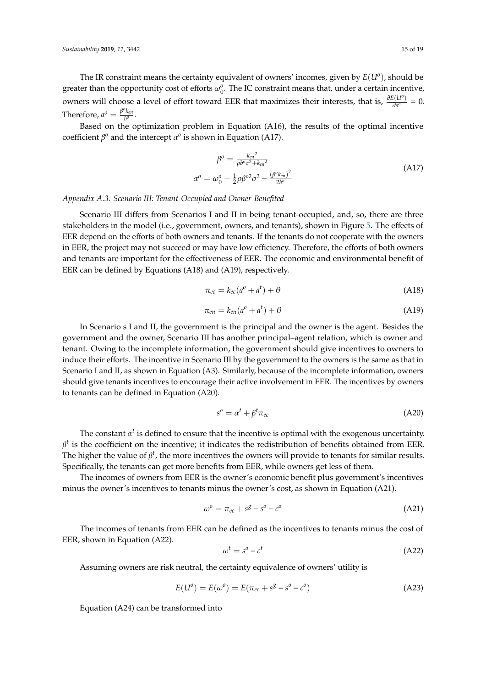The IR constraint means the certainty equivalent of owners' incomes, given by *E*(*U<sup>o</sup>* ), should be greater than the opportunity cost of efforts  $\omega_0^o$ . The IC constraint means that, under a certain incentive, owners will choose a level of effort toward EER that maximizes their interests, that is,  $\frac{\partial E(U^o)}{\partial a^o}$  $\frac{\partial}{\partial a^o}$  = 0. Therefore,  $a^o = \frac{\beta^o k_{en}}{h^o}$  $\frac{\kappa_{en}}{b^o}$ .

Based on the optimization problem in Equation (A16), the results of the optimal incentive coefficient  $\beta^o$  and the intercept  $\alpha^o$  is shown in Equation (A17).

$$
\beta^{o} = \frac{k_{en}^{2}}{\rho b^{o} \sigma^{2} + k_{en}^{2}}
$$
  
\n
$$
\sigma^{o} = \omega_{0}^{o} + \frac{1}{2} \rho \beta^{o2} \sigma^{2} - \frac{(\beta^{o} k_{en})^{2}}{2b^{o}}
$$
\n(A17)

*Appendix A.3. Scenario III: Tenant-Occupied and Owner-Benefited*

 $\alpha^0$ 

Scenario III differs from Scenarios I and II in being tenant-occupied, and, so, there are three stakeholders in the model (i.e., government, owners, and tenants), shown in Figure [5.](#page-5-1) The effects of EER depend on the efforts of both owners and tenants. If the tenants do not cooperate with the owners in EER, the project may not succeed or may have low efficiency. Therefore, the efforts of both owners and tenants are important for the effectiveness of EER. The economic and environmental benefit of EER can be defined by Equations (A18) and (A19), respectively.

$$
\pi_{ec} = k_{ec}(a^o + a^t) + \theta \tag{A18}
$$

$$
\pi_{en} = k_{en}(a^o + a^t) + \theta \tag{A19}
$$

In Scenario s I and II, the government is the principal and the owner is the agent. Besides the government and the owner, Scenario III has another principal–agent relation, which is owner and tenant. Owing to the incomplete information, the government should give incentives to owners to induce their efforts. The incentive in Scenario III by the government to the owners is the same as that in Scenario I and II, as shown in Equation (A3). Similarly, because of the incomplete information, owners should give tenants incentives to encourage their active involvement in EER. The incentives by owners to tenants can be defined in Equation (A20).

$$
s^o = \alpha^t + \beta^t \pi_{ec} \tag{A20}
$$

The constant  $\alpha^t$  is defined to ensure that the incentive is optimal with the exogenous uncertainty.  $\beta^t$  is the coefficient on the incentive; it indicates the redistribution of benefits obtained from EER. The higher the value of  $\beta^t$ , the more incentives the owners will provide to tenants for similar results. Specifically, the tenants can get more benefits from EER, while owners get less of them.

The incomes of owners from EER is the owner's economic benefit plus government's incentives minus the owner's incentives to tenants minus the owner's cost, as shown in Equation (A21).

$$
\omega^o = \pi_{ec} + s^g - s^o - c^o \tag{A21}
$$

The incomes of tenants from EER can be defined as the incentives to tenants minus the cost of EER, shown in Equation (A22).

$$
\omega^t = s^0 - c^t \tag{A22}
$$

Assuming owners are risk neutral, the certainty equivalence of owners' utility is

$$
E(U^{o}) = E(\omega^{o}) = E(\pi_{ec} + s^{g} - s^{o} - c^{o})
$$
\n(A23)

Equation (A24) can be transformed into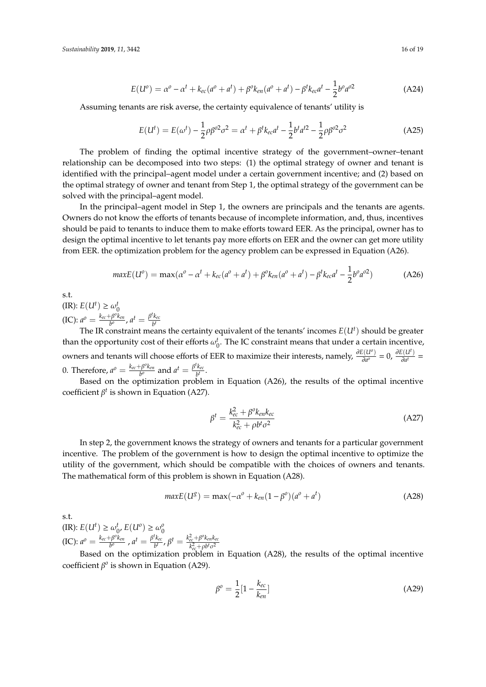$$
E(U^{o}) = \alpha^{o} - \alpha^{t} + k_{ec}(a^{o} + a^{t}) + \beta^{o}k_{en}(a^{o} + a^{t}) - \beta^{t}k_{ec}a^{t} - \frac{1}{2}b^{o}a^{o2}
$$
 (A24)

Assuming tenants are risk averse, the certainty equivalence of tenants' utility is

$$
E(U^{t}) = E(\omega^{t}) - \frac{1}{2}\rho\beta^{02}\sigma^{2} = \alpha^{t} + \beta^{t}k_{ec}a^{t} - \frac{1}{2}b^{t}a^{t2} - \frac{1}{2}\rho\beta^{02}\sigma^{2}
$$
 (A25)

The problem of finding the optimal incentive strategy of the government–owner–tenant relationship can be decomposed into two steps: (1) the optimal strategy of owner and tenant is identified with the principal–agent model under a certain government incentive; and (2) based on the optimal strategy of owner and tenant from Step 1, the optimal strategy of the government can be solved with the principal–agent model.

In the principal–agent model in Step 1, the owners are principals and the tenants are agents. Owners do not know the efforts of tenants because of incomplete information, and, thus, incentives should be paid to tenants to induce them to make efforts toward EER. As the principal, owner has to design the optimal incentive to let tenants pay more efforts on EER and the owner can get more utility from EER. the optimization problem for the agency problem can be expressed in Equation (A26).

$$
maxE(U^{o}) = max(\alpha^{o} - \alpha^{t} + k_{ec}(a^{o} + a^{t}) + \beta^{o}k_{en}(a^{o} + a^{t}) - \beta^{t}k_{ec}a^{t} - \frac{1}{2}b^{o}a^{o2})
$$
(A26)

s.t.

 $(I\mathbb{R})$ :  $E(U^t) \ge \omega_0^t$  $\text{(IC): } a^{\circ} = \frac{k_{ec} + \beta^{\circ}k_{en}}{b^{\circ}}$  $\frac{\partial^0 k_{en}}{\partial^0}$ ,  $a^t = \frac{\beta^t k_{ec}}{b^t}$ *b t*

The IR constraint means the certainty equivalent of the tenants' incomes  $E(U^t)$  should be greater than the opportunity cost of their efforts  $\omega_0^t$ . The IC constraint means that under a certain incentive, owners and tenants will choose efforts of EER to maximize their interests, namely,  $\frac{\partial E(U^o)}{\partial q^o}$  $\frac{\partial E(U^t)}{\partial a^o} = 0$ ,  $\frac{\partial E(U^t)}{\partial a^t}$  $\frac{\partial (a)}{\partial a^t} =$ 0. Therefore,  $a^{\circ} = \frac{k_{ec} + \beta^{\circ}k_{en}}{b^{\circ}}$  $\frac{e^{-\beta^o k_{en}}}{b^o}$  and  $a^t = \frac{\beta^t k_{ec}}{b^t}$  $\frac{\kappa_{ec}}{b^t}$ .

Based on the optimization problem in Equation (A26), the results of the optimal incentive coefficient  $\beta^t$  is shown in Equation (A27).

$$
\beta^t = \frac{k_{ec}^2 + \beta^0 k_{en} k_{ec}}{k_{ec}^2 + \rho b^t \sigma^2}
$$
\n(A27)

In step 2, the government knows the strategy of owners and tenants for a particular government incentive. The problem of the government is how to design the optimal incentive to optimize the utility of the government, which should be compatible with the choices of owners and tenants. The mathematical form of this problem is shown in Equation (A28).

$$
maxE(U^g) = max(-\alpha^o + k_{en}(1 - \beta^o)(a^o + a^t)
$$
\n(A28)

s.t.

 $(U \cap E) : E(U^t) \ge \omega_0^t, E(U^0) \ge \omega_0^0$  $\text{(IC): } a^{\circ} = \frac{k_{ec} + \beta^{\circ}k_{en}}{b^{\circ}}$  $\frac{\partial^b F}{\partial t^b}$  ,  $a^t = \frac{\beta^t k_{ec}}{b^t}$  $\frac{d^2k_{ec}}{b^t}$ ,  $\beta^t = \frac{k_{ec}^2 + \beta^0k_{en}k_{ec}}{k_{ec}^2 + \rho b^t \sigma^2}$  $k_{ec}^2 + \rho b^t \sigma^2$ 

Based on the optimization problem in Equation (A28), the results of the optimal incentive coefficient  $\beta^0$  is shown in Equation (A29).

$$
\beta^o = \frac{1}{2} [1 - \frac{k_{ec}}{k_{en}}] \tag{A29}
$$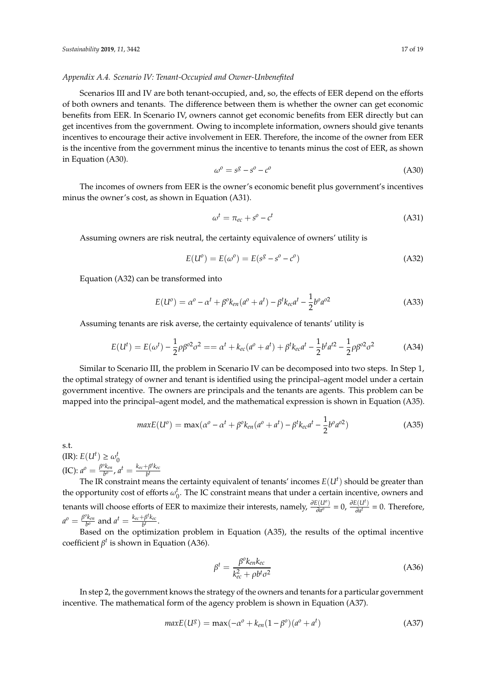#### *Appendix A.4. Scenario IV: Tenant-Occupied and Owner-Unbenefited*

Scenarios III and IV are both tenant-occupied, and, so, the effects of EER depend on the efforts of both owners and tenants. The difference between them is whether the owner can get economic benefits from EER. In Scenario IV, owners cannot get economic benefits from EER directly but can get incentives from the government. Owing to incomplete information, owners should give tenants incentives to encourage their active involvement in EER. Therefore, the income of the owner from EER is the incentive from the government minus the incentive to tenants minus the cost of EER, as shown in Equation (A30).

$$
\omega^o = s^g - s^o - c^o \tag{A30}
$$

The incomes of owners from EER is the owner's economic benefit plus government's incentives minus the owner's cost, as shown in Equation (A31).

$$
\omega^t = \pi_{ec} + s^0 - c^t \tag{A31}
$$

Assuming owners are risk neutral, the certainty equivalence of owners' utility is

$$
E(U^{o}) = E(\omega^{o}) = E(s^{g} - s^{o} - c^{o})
$$
\n(A32)

Equation (A32) can be transformed into

$$
E(U^{o}) = \alpha^{o} - \alpha^{t} + \beta^{o} k_{en}(a^{o} + a^{t}) - \beta^{t} k_{ec} a^{t} - \frac{1}{2} b^{o} a^{o2}
$$
 (A33)

Assuming tenants are risk averse, the certainty equivalence of tenants' utility is

$$
E(U^{t}) = E(\omega^{t}) - \frac{1}{2}\rho\beta^{02}\sigma^{2} = \alpha^{t} + k_{ec}(a^{0} + a^{t}) + \beta^{t}k_{ec}a^{t} - \frac{1}{2}b^{t}a^{t2} - \frac{1}{2}\rho\beta^{02}\sigma^{2}
$$
 (A34)

Similar to Scenario III, the problem in Scenario IV can be decomposed into two steps. In Step 1, the optimal strategy of owner and tenant is identified using the principal–agent model under a certain government incentive. The owners are principals and the tenants are agents. This problem can be mapped into the principal–agent model, and the mathematical expression is shown in Equation (A35).

$$
maxE(U^{o}) = max(\alpha^{o} - \alpha^{t} + \beta^{o}k_{en}(a^{o} + a^{t}) - \beta^{t}k_{ec}a^{t} - \frac{1}{2}b^{o}a^{o2})
$$
 (A35)

s.t.

 $(I\mathbb{R})$ :  $E(U^t) \ge \omega_0^t$  $\text{(IC): } a^{\circ} = \frac{\beta^{\circ} k_{\text{en}}}{h^{\circ}}$  $\frac{\partial k_{en}}{\partial b^o}$ ,  $a^t = \frac{k_{ec} + \beta^t k_{ec}}{b^t}$ *b t*

The IR constraint means the certainty equivalent of tenants' incomes  $E(U^t)$  should be greater than the opportunity cost of efforts  $\omega_0^t$ . The IC constraint means that under a certain incentive, owners and tenants will choose efforts of EER to maximize their interests, namely,  $\frac{\partial E(U^o)}{\partial a^o}$  $\frac{\partial E(U^t)}{\partial a^o} = 0$ ,  $\frac{\partial E(U^t)}{\partial a^t}$  $\frac{\partial}{\partial a^t}$  = 0. Therefore,  $a^o = \frac{\beta^o k_{en}}{b^o}$  $\frac{\partial k_{en}}{\partial p^o}$  and  $a^t = \frac{k_{ec} + \beta^t k_{ec}}{b^t}$  $\frac{p \kappa_{ec}}{b^t}$ .

Based on the optimization problem in Equation (A35), the results of the optimal incentive coefficient  $\beta^t$  is shown in Equation (A36).

$$
\beta^t = \frac{\beta^0 k_{en} k_{ec}}{k_{ec}^2 + \rho b^t \sigma^2} \tag{A36}
$$

In step 2, the government knows the strategy of the owners and tenants for a particular government incentive. The mathematical form of the agency problem is shown in Equation (A37).

$$
maxE(U^g) = max(-\alpha^o + k_{en}(1 - \beta^o)(a^o + a^t)
$$
\n(A37)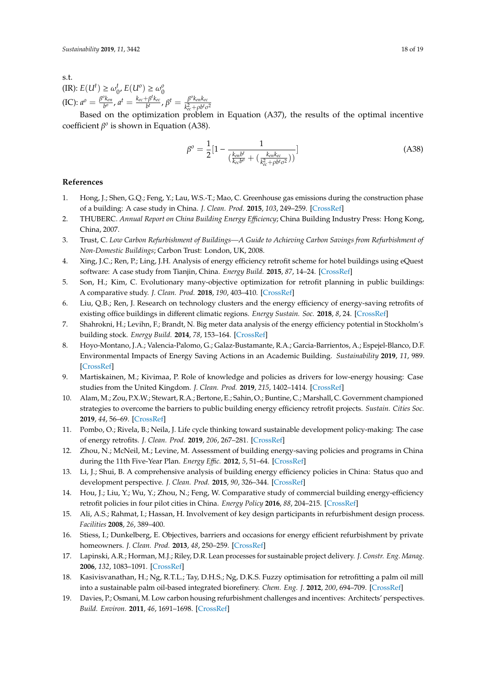s.t.  $(\text{IR})$ :  $E(U^t) \ge \omega_0^t$ ,  $E(U^0) \ge \omega_0^0$  $\text{(IC): } a^{\circ} = \frac{\beta^{\circ} k_{\text{en}}}{h^{\circ}}$  $\frac{\partial k_{en}}{\partial b^o}$ ,  $a^t = \frac{k_{ec} + \beta^t k_{ec}}{b^t}$  $\frac{\beta^t k_{ec}}{b^t}$ ,  $\beta^t = \frac{\beta^0 k_{en} k_{ec}}{k_{ec}^2 + \rho b^t \sigma^t}$  $k_{ec}^2 + \rho b^t \sigma^2$ 

Based on the optimization problem in Equation (A37), the results of the optimal incentive coefficient  $β$ <sup>o</sup> is shown in Equation (A38).

$$
\beta^{o} = \frac{1}{2} \left[ 1 - \frac{1}{\left( \frac{k_{en}b^{t}}{k_{ee}b^{o}} + \left( \frac{k_{en}k_{ec}}{k_{ee}^{2} + \rho b^{t} \sigma^{2}} \right) \right)} \right]
$$
(A38)

## **References**

- <span id="page-17-0"></span>1. Hong, J.; Shen, G.Q.; Feng, Y.; Lau, W.S.-T.; Mao, C. Greenhouse gas emissions during the construction phase of a building: A case study in China. *J. Clean. Prod.* **2015**, *103*, 249–259. [\[CrossRef\]](http://dx.doi.org/10.1016/j.jclepro.2014.11.023)
- <span id="page-17-1"></span>2. THUBERC. *Annual Report on China Building Energy E*ffi*ciency*; China Building Industry Press: Hong Kong, China, 2007.
- <span id="page-17-2"></span>3. Trust, C. *Low Carbon Refurbishment of Buildings—A Guide to Achieving Carbon Savings from Refurbishment of Non-Domestic Buildings*; Carbon Trust: London, UK, 2008.
- <span id="page-17-3"></span>4. Xing, J.C.; Ren, P.; Ling, J.H. Analysis of energy efficiency retrofit scheme for hotel buildings using eQuest software: A case study from Tianjin, China. *Energy Build.* **2015**, *87*, 14–24. [\[CrossRef\]](http://dx.doi.org/10.1016/j.enbuild.2014.10.045)
- 5. Son, H.; Kim, C. Evolutionary many-objective optimization for retrofit planning in public buildings: A comparative study. *J. Clean. Prod.* **2018**, *190*, 403–410. [\[CrossRef\]](http://dx.doi.org/10.1016/j.jclepro.2018.04.102)
- 6. Liu, Q.B.; Ren, J. Research on technology clusters and the energy efficiency of energy-saving retrofits of existing office buildings in different climatic regions. *Energy Sustain. Soc.* **2018**, *8*, 24. [\[CrossRef\]](http://dx.doi.org/10.1186/s13705-018-0165-0)
- 7. Shahrokni, H.; Levihn, F.; Brandt, N. Big meter data analysis of the energy efficiency potential in Stockholm's building stock. *Energy Build.* **2014**, *78*, 153–164. [\[CrossRef\]](http://dx.doi.org/10.1016/j.enbuild.2014.04.017)
- <span id="page-17-4"></span>8. Hoyo-Montano, J.A.; Valencia-Palomo, G.; Galaz-Bustamante, R.A.; Garcia-Barrientos, A.; Espejel-Blanco, D.F. Environmental Impacts of Energy Saving Actions in an Academic Building. *Sustainability* **2019**, *11*, 989. [\[CrossRef\]](http://dx.doi.org/10.3390/su11040989)
- <span id="page-17-5"></span>9. Martiskainen, M.; Kivimaa, P. Role of knowledge and policies as drivers for low-energy housing: Case studies from the United Kingdom. *J. Clean. Prod.* **2019**, *215*, 1402–1414. [\[CrossRef\]](http://dx.doi.org/10.1016/j.jclepro.2019.01.104)
- <span id="page-17-12"></span>10. Alam, M.; Zou, P.X.W.; Stewart, R.A.; Bertone, E.; Sahin, O.; Buntine, C.; Marshall, C. Government championed strategies to overcome the barriers to public building energy efficiency retrofit projects. *Sustain. Cities Soc.* **2019**, *44*, 56–69. [\[CrossRef\]](http://dx.doi.org/10.1016/j.scs.2018.09.022)
- 11. Pombo, O.; Rivela, B.; Neila, J. Life cycle thinking toward sustainable development policy-making: The case of energy retrofits. *J. Clean. Prod.* **2019**, *206*, 267–281. [\[CrossRef\]](http://dx.doi.org/10.1016/j.jclepro.2018.09.173)
- <span id="page-17-6"></span>12. Zhou, N.; McNeil, M.; Levine, M. Assessment of building energy-saving policies and programs in China during the 11th Five-Year Plan. *Energy E*ffi*c.* **2012**, *5*, 51–64. [\[CrossRef\]](http://dx.doi.org/10.1007/s12053-011-9111-0)
- <span id="page-17-7"></span>13. Li, J.; Shui, B. A comprehensive analysis of building energy efficiency policies in China: Status quo and development perspective. *J. Clean. Prod.* **2015**, *90*, 326–344. [\[CrossRef\]](http://dx.doi.org/10.1016/j.jclepro.2014.11.061)
- <span id="page-17-8"></span>14. Hou, J.; Liu, Y.; Wu, Y.; Zhou, N.; Feng, W. Comparative study of commercial building energy-efficiency retrofit policies in four pilot cities in China. *Energy Policy* **2016**, *88*, 204–215. [\[CrossRef\]](http://dx.doi.org/10.1016/j.enpol.2015.10.016)
- <span id="page-17-9"></span>15. Ali, A.S.; Rahmat, I.; Hassan, H. Involvement of key design participants in refurbishment design process. *Facilities* **2008**, *26*, 389–400.
- <span id="page-17-10"></span>16. Stiess, I.; Dunkelberg, E. Objectives, barriers and occasions for energy efficient refurbishment by private homeowners. *J. Clean. Prod.* **2013**, *48*, 250–259. [\[CrossRef\]](http://dx.doi.org/10.1016/j.jclepro.2012.09.041)
- <span id="page-17-11"></span>17. Lapinski, A.R.; Horman, M.J.; Riley, D.R. Lean processes for sustainable project delivery. *J. Constr. Eng. Manag.* **2006**, *132*, 1083–1091. [\[CrossRef\]](http://dx.doi.org/10.1061/(ASCE)0733-9364(2006)132:10(1083))
- <span id="page-17-13"></span>18. Kasivisvanathan, H.; Ng, R.T.L.; Tay, D.H.S.; Ng, D.K.S. Fuzzy optimisation for retrofitting a palm oil mill into a sustainable palm oil-based integrated biorefinery. *Chem. Eng. J.* **2012**, *200*, 694–709. [\[CrossRef\]](http://dx.doi.org/10.1016/j.cej.2012.05.113)
- <span id="page-17-14"></span>19. Davies, P.; Osmani, M. Low carbon housing refurbishment challenges and incentives: Architects' perspectives. *Build. Environ.* **2011**, *46*, 1691–1698. [\[CrossRef\]](http://dx.doi.org/10.1016/j.buildenv.2011.02.011)